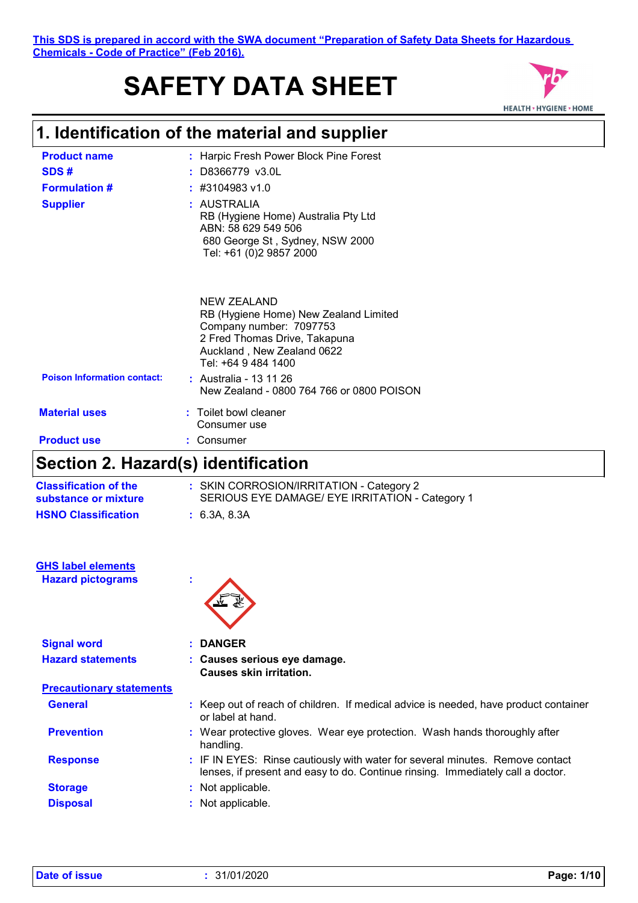# **SAFETY DATA SHEET**



# **1. Identification of the material and supplier**

| <b>Product name</b>                | : Harpic Fresh Power Block Pine Forest                                                                                                                                                          |
|------------------------------------|-------------------------------------------------------------------------------------------------------------------------------------------------------------------------------------------------|
| SDS#                               | : D8366779 v3.0L                                                                                                                                                                                |
| <b>Formulation #</b>               | $\div$ #3104983 v1.0                                                                                                                                                                            |
| <b>Supplier</b>                    | : AUSTRALIA<br>RB (Hygiene Home) Australia Pty Ltd<br>ABN: 58 629 549 506<br>680 George St, Sydney, NSW 2000<br>Tel: +61 (0)2 9857 2000                                                         |
| <b>Poison Information contact:</b> | NEW ZEALAND<br>RB (Hygiene Home) New Zealand Limited<br>Company number: 7097753<br>2 Fred Thomas Drive, Takapuna<br>Auckland, New Zealand 0622<br>Tel: +64 9 484 1400<br>: Australia - 13 11 26 |
|                                    | New Zealand - 0800 764 766 or 0800 POISON                                                                                                                                                       |
| <b>Material uses</b>               | : Toilet bowl cleaner<br>Consumer use                                                                                                                                                           |
| <b>Product use</b>                 | Consumer                                                                                                                                                                                        |

## **Section 2. Hazard(s) identification**

| <b>Classification of the</b><br>substance or mixture | : SKIN CORROSION/IRRITATION - Category 2<br>SERIOUS EYE DAMAGE/ EYE IRRITATION - Category 1 |
|------------------------------------------------------|---------------------------------------------------------------------------------------------|
| <b>HSNO Classification</b>                           | : 6.3A. 8.3A                                                                                |

| <b>GHS label elements</b> |  |
|---------------------------|--|
| <b>Hazard pictograms</b>  |  |



| <b>Signal word</b>              | : DANGER                                                                                                                                                         |
|---------------------------------|------------------------------------------------------------------------------------------------------------------------------------------------------------------|
| <b>Hazard statements</b>        | : Causes serious eye damage.<br><b>Causes skin irritation.</b>                                                                                                   |
| <b>Precautionary statements</b> |                                                                                                                                                                  |
| <b>General</b>                  | : Keep out of reach of children. If medical advice is needed, have product container<br>or label at hand.                                                        |
| <b>Prevention</b>               | : Wear protective gloves. Wear eye protection. Wash hands thoroughly after<br>handling.                                                                          |
| <b>Response</b>                 | : IF IN EYES: Rinse cautiously with water for several minutes. Remove contact<br>lenses, if present and easy to do. Continue rinsing. Immediately call a doctor. |
| <b>Storage</b>                  | : Not applicable.                                                                                                                                                |
| <b>Disposal</b>                 | : Not applicable.                                                                                                                                                |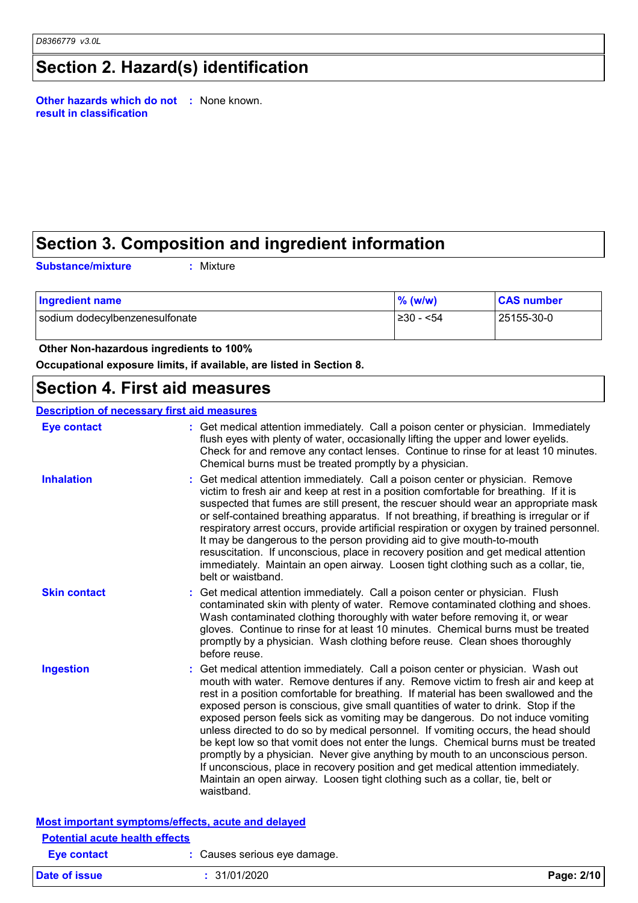## **Section 2. Hazard(s) identification**

**Other hazards which do not :** None known. **result in classification**

## **Section 3. Composition and ingredient information**

**Substance/mixture :**

: Mixture

| <b>Ingredient name</b>         | $\%$ (w/w) | <b>CAS number</b> |
|--------------------------------|------------|-------------------|
| sodium dodecylbenzenesulfonate | ≥30 - <54  | 25155-30-0        |

 **Other Non-hazardous ingredients to 100%**

**Occupational exposure limits, if available, are listed in Section 8.**

### **Section 4. First aid measures**

| <b>Eye contact</b>  | : Get medical attention immediately. Call a poison center or physician. Immediately<br>flush eyes with plenty of water, occasionally lifting the upper and lower eyelids.<br>Check for and remove any contact lenses. Continue to rinse for at least 10 minutes.<br>Chemical burns must be treated promptly by a physician.                                                                                                                                                                                                                                                                                                                                                                                                                                                                                                                                                          |
|---------------------|--------------------------------------------------------------------------------------------------------------------------------------------------------------------------------------------------------------------------------------------------------------------------------------------------------------------------------------------------------------------------------------------------------------------------------------------------------------------------------------------------------------------------------------------------------------------------------------------------------------------------------------------------------------------------------------------------------------------------------------------------------------------------------------------------------------------------------------------------------------------------------------|
| <b>Inhalation</b>   | Get medical attention immediately. Call a poison center or physician. Remove<br>victim to fresh air and keep at rest in a position comfortable for breathing. If it is<br>suspected that fumes are still present, the rescuer should wear an appropriate mask<br>or self-contained breathing apparatus. If not breathing, if breathing is irregular or if<br>respiratory arrest occurs, provide artificial respiration or oxygen by trained personnel.<br>It may be dangerous to the person providing aid to give mouth-to-mouth<br>resuscitation. If unconscious, place in recovery position and get medical attention<br>immediately. Maintain an open airway. Loosen tight clothing such as a collar, tie,<br>belt or waistband.                                                                                                                                                  |
| <b>Skin contact</b> | Get medical attention immediately. Call a poison center or physician. Flush<br>contaminated skin with plenty of water. Remove contaminated clothing and shoes.<br>Wash contaminated clothing thoroughly with water before removing it, or wear<br>gloves. Continue to rinse for at least 10 minutes. Chemical burns must be treated<br>promptly by a physician. Wash clothing before reuse. Clean shoes thoroughly<br>before reuse.                                                                                                                                                                                                                                                                                                                                                                                                                                                  |
| <b>Ingestion</b>    | Get medical attention immediately. Call a poison center or physician. Wash out<br>mouth with water. Remove dentures if any. Remove victim to fresh air and keep at<br>rest in a position comfortable for breathing. If material has been swallowed and the<br>exposed person is conscious, give small quantities of water to drink. Stop if the<br>exposed person feels sick as vomiting may be dangerous. Do not induce vomiting<br>unless directed to do so by medical personnel. If vomiting occurs, the head should<br>be kept low so that vomit does not enter the lungs. Chemical burns must be treated<br>promptly by a physician. Never give anything by mouth to an unconscious person.<br>If unconscious, place in recovery position and get medical attention immediately.<br>Maintain an open airway. Loosen tight clothing such as a collar, tie, belt or<br>waistband. |

| <b>Potential acute health effects</b> |                              |            |
|---------------------------------------|------------------------------|------------|
| Eye contact                           | : Causes serious eye damage. |            |
| Date of issue                         | : 31/01/2020                 | Page: 2/10 |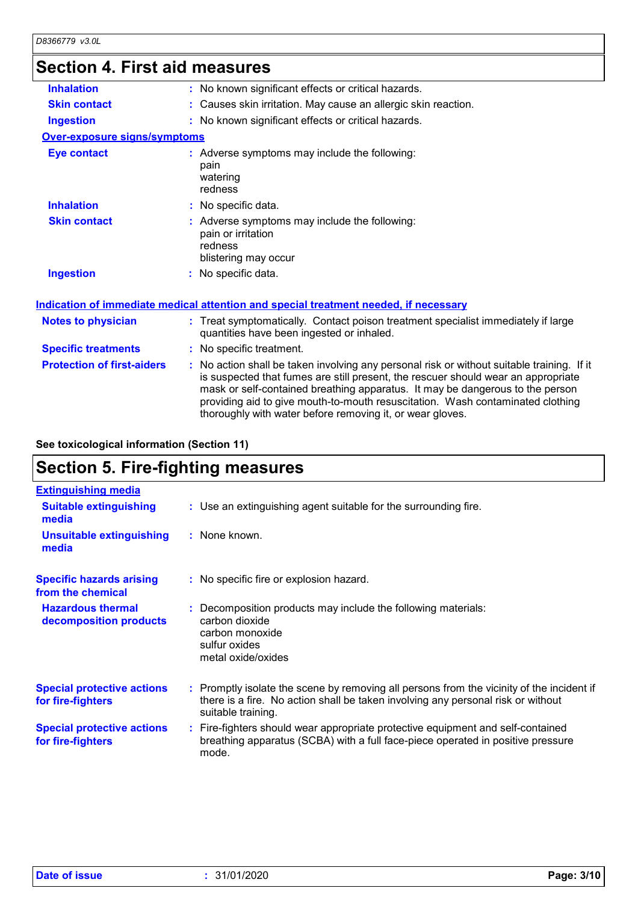## **Section 4. First aid measures**

| : No known significant effects or critical hazards.                                                                                                                                                                                                                                                                                                |
|----------------------------------------------------------------------------------------------------------------------------------------------------------------------------------------------------------------------------------------------------------------------------------------------------------------------------------------------------|
| : Causes skin irritation. May cause an allergic skin reaction.                                                                                                                                                                                                                                                                                     |
| : No known significant effects or critical hazards.                                                                                                                                                                                                                                                                                                |
| <b>Over-exposure signs/symptoms</b>                                                                                                                                                                                                                                                                                                                |
| : Adverse symptoms may include the following:<br>pain<br>watering<br>redness                                                                                                                                                                                                                                                                       |
| : No specific data.                                                                                                                                                                                                                                                                                                                                |
| : Adverse symptoms may include the following:<br>pain or irritation<br>redness<br>blistering may occur                                                                                                                                                                                                                                             |
| : No specific data.                                                                                                                                                                                                                                                                                                                                |
| Indication of immediate medical attention and special treatment needed, if necessary                                                                                                                                                                                                                                                               |
| : Treat symptomatically. Contact poison treatment specialist immediately if large<br>quantities have been ingested or inhaled.                                                                                                                                                                                                                     |
| : No specific treatment.                                                                                                                                                                                                                                                                                                                           |
| : No action shall be taken involving any personal risk or without suitable training. If it<br>is suspected that fumes are still present, the rescuer should wear an appropriate<br>mask or self-contained breathing apparatus. It may be dangerous to the person<br>providing aid to give mouth-to-mouth resuscitation. Wash contaminated clothing |
|                                                                                                                                                                                                                                                                                                                                                    |

**See toxicological information (Section 11)**

## **Section 5. Fire-fighting measures**

| <b>Extinguishing media</b>                             |                                                                                                                                                                                                     |
|--------------------------------------------------------|-----------------------------------------------------------------------------------------------------------------------------------------------------------------------------------------------------|
| <b>Suitable extinguishing</b><br>media                 | : Use an extinguishing agent suitable for the surrounding fire.                                                                                                                                     |
| <b>Unsuitable extinguishing</b><br>media               | : None known.                                                                                                                                                                                       |
| <b>Specific hazards arising</b><br>from the chemical   | : No specific fire or explosion hazard.                                                                                                                                                             |
| <b>Hazardous thermal</b><br>decomposition products     | : Decomposition products may include the following materials:<br>carbon dioxide<br>carbon monoxide<br>sulfur oxides<br>metal oxide/oxides                                                           |
| <b>Special protective actions</b><br>for fire-fighters | : Promptly isolate the scene by removing all persons from the vicinity of the incident if<br>there is a fire. No action shall be taken involving any personal risk or without<br>suitable training. |
| <b>Special protective actions</b><br>for fire-fighters | : Fire-fighters should wear appropriate protective equipment and self-contained<br>breathing apparatus (SCBA) with a full face-piece operated in positive pressure<br>mode.                         |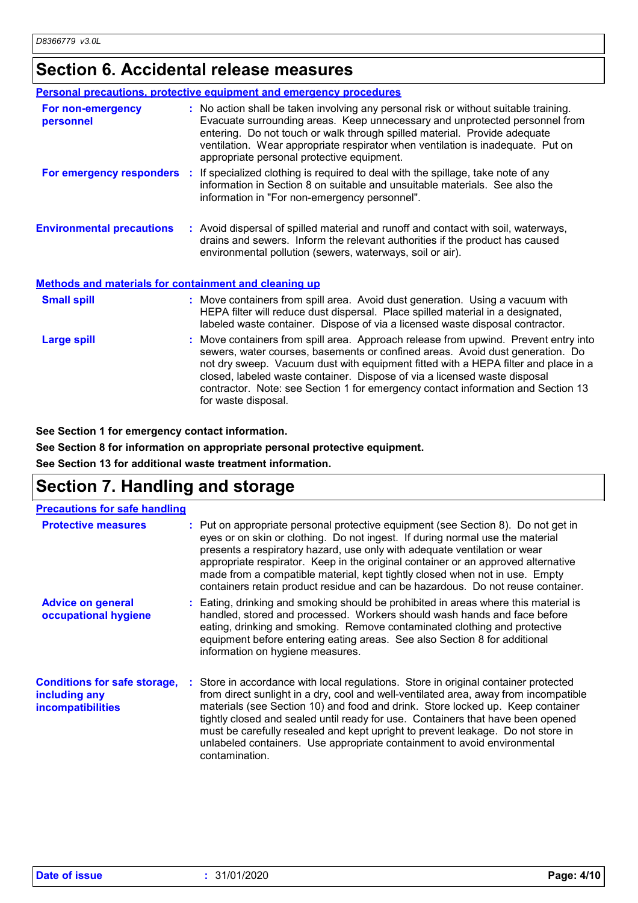## **Section 6. Accidental release measures**

|                                                              | <b>Personal precautions, protective equipment and emergency procedures</b>                                                                                                                                                                                                                                                                                                                                                                         |
|--------------------------------------------------------------|----------------------------------------------------------------------------------------------------------------------------------------------------------------------------------------------------------------------------------------------------------------------------------------------------------------------------------------------------------------------------------------------------------------------------------------------------|
| For non-emergency<br>personnel                               | : No action shall be taken involving any personal risk or without suitable training.<br>Evacuate surrounding areas. Keep unnecessary and unprotected personnel from<br>entering. Do not touch or walk through spilled material. Provide adequate<br>ventilation. Wear appropriate respirator when ventilation is inadequate. Put on<br>appropriate personal protective equipment.                                                                  |
|                                                              | <b>For emergency responders</b> : If specialized clothing is required to deal with the spillage, take note of any<br>information in Section 8 on suitable and unsuitable materials. See also the<br>information in "For non-emergency personnel".                                                                                                                                                                                                  |
| <b>Environmental precautions</b>                             | : Avoid dispersal of spilled material and runoff and contact with soil, waterways,<br>drains and sewers. Inform the relevant authorities if the product has caused<br>environmental pollution (sewers, waterways, soil or air).                                                                                                                                                                                                                    |
| <b>Methods and materials for containment and cleaning up</b> |                                                                                                                                                                                                                                                                                                                                                                                                                                                    |
| <b>Small spill</b>                                           | : Move containers from spill area. Avoid dust generation. Using a vacuum with<br>HEPA filter will reduce dust dispersal. Place spilled material in a designated,<br>labeled waste container. Dispose of via a licensed waste disposal contractor.                                                                                                                                                                                                  |
| <b>Large spill</b>                                           | : Move containers from spill area. Approach release from upwind. Prevent entry into<br>sewers, water courses, basements or confined areas. Avoid dust generation. Do<br>not dry sweep. Vacuum dust with equipment fitted with a HEPA filter and place in a<br>closed, labeled waste container. Dispose of via a licensed waste disposal<br>contractor. Note: see Section 1 for emergency contact information and Section 13<br>for waste disposal. |

**See Section 1 for emergency contact information.**

**See Section 8 for information on appropriate personal protective equipment.**

**See Section 13 for additional waste treatment information.**

## **Section 7. Handling and storage**

| <b>Precautions for safe handling</b>                                             |                                                                                                                                                                                                                                                                                                                                                                                                                                                                                                                                   |
|----------------------------------------------------------------------------------|-----------------------------------------------------------------------------------------------------------------------------------------------------------------------------------------------------------------------------------------------------------------------------------------------------------------------------------------------------------------------------------------------------------------------------------------------------------------------------------------------------------------------------------|
| <b>Protective measures</b>                                                       | : Put on appropriate personal protective equipment (see Section 8). Do not get in<br>eyes or on skin or clothing. Do not ingest. If during normal use the material<br>presents a respiratory hazard, use only with adequate ventilation or wear<br>appropriate respirator. Keep in the original container or an approved alternative<br>made from a compatible material, kept tightly closed when not in use. Empty<br>containers retain product residue and can be hazardous. Do not reuse container.                            |
| <b>Advice on general</b><br>occupational hygiene                                 | : Eating, drinking and smoking should be prohibited in areas where this material is<br>handled, stored and processed. Workers should wash hands and face before<br>eating, drinking and smoking. Remove contaminated clothing and protective<br>equipment before entering eating areas. See also Section 8 for additional<br>information on hygiene measures.                                                                                                                                                                     |
| <b>Conditions for safe storage,</b><br>including any<br><i>incompatibilities</i> | : Store in accordance with local regulations. Store in original container protected<br>from direct sunlight in a dry, cool and well-ventilated area, away from incompatible<br>materials (see Section 10) and food and drink. Store locked up. Keep container<br>tightly closed and sealed until ready for use. Containers that have been opened<br>must be carefully resealed and kept upright to prevent leakage. Do not store in<br>unlabeled containers. Use appropriate containment to avoid environmental<br>contamination. |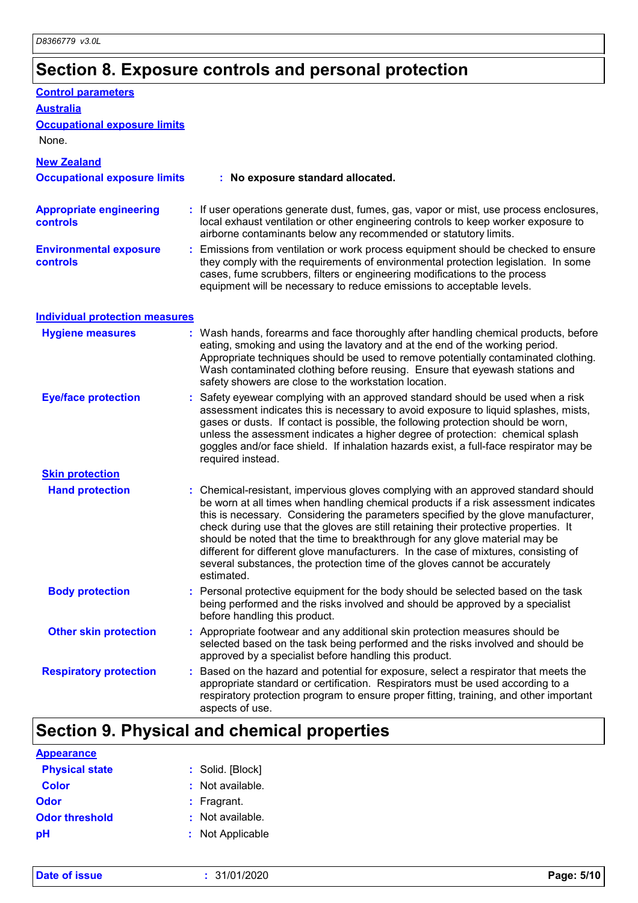# **Section 8. Exposure controls and personal protection**

| <b>Control parameters</b>                         |                                                                                                                                                                                                                                                                                                                                                                                                                                                                                                                                                                                                                           |
|---------------------------------------------------|---------------------------------------------------------------------------------------------------------------------------------------------------------------------------------------------------------------------------------------------------------------------------------------------------------------------------------------------------------------------------------------------------------------------------------------------------------------------------------------------------------------------------------------------------------------------------------------------------------------------------|
| <b>Australia</b>                                  |                                                                                                                                                                                                                                                                                                                                                                                                                                                                                                                                                                                                                           |
| <b>Occupational exposure limits</b>               |                                                                                                                                                                                                                                                                                                                                                                                                                                                                                                                                                                                                                           |
| None.                                             |                                                                                                                                                                                                                                                                                                                                                                                                                                                                                                                                                                                                                           |
| <b>New Zealand</b>                                |                                                                                                                                                                                                                                                                                                                                                                                                                                                                                                                                                                                                                           |
| <b>Occupational exposure limits</b>               | : No exposure standard allocated.                                                                                                                                                                                                                                                                                                                                                                                                                                                                                                                                                                                         |
| <b>Appropriate engineering</b><br><b>controls</b> | : If user operations generate dust, fumes, gas, vapor or mist, use process enclosures,<br>local exhaust ventilation or other engineering controls to keep worker exposure to<br>airborne contaminants below any recommended or statutory limits.                                                                                                                                                                                                                                                                                                                                                                          |
| <b>Environmental exposure</b><br><b>controls</b>  | : Emissions from ventilation or work process equipment should be checked to ensure<br>they comply with the requirements of environmental protection legislation. In some<br>cases, fume scrubbers, filters or engineering modifications to the process<br>equipment will be necessary to reduce emissions to acceptable levels.                                                                                                                                                                                                                                                                                           |
| <b>Individual protection measures</b>             |                                                                                                                                                                                                                                                                                                                                                                                                                                                                                                                                                                                                                           |
| <b>Hygiene measures</b>                           | : Wash hands, forearms and face thoroughly after handling chemical products, before<br>eating, smoking and using the lavatory and at the end of the working period.<br>Appropriate techniques should be used to remove potentially contaminated clothing.<br>Wash contaminated clothing before reusing. Ensure that eyewash stations and<br>safety showers are close to the workstation location.                                                                                                                                                                                                                         |
| <b>Eye/face protection</b>                        | Safety eyewear complying with an approved standard should be used when a risk<br>assessment indicates this is necessary to avoid exposure to liquid splashes, mists,<br>gases or dusts. If contact is possible, the following protection should be worn,<br>unless the assessment indicates a higher degree of protection: chemical splash<br>goggles and/or face shield. If inhalation hazards exist, a full-face respirator may be<br>required instead.                                                                                                                                                                 |
| <b>Skin protection</b>                            |                                                                                                                                                                                                                                                                                                                                                                                                                                                                                                                                                                                                                           |
| <b>Hand protection</b>                            | : Chemical-resistant, impervious gloves complying with an approved standard should<br>be worn at all times when handling chemical products if a risk assessment indicates<br>this is necessary. Considering the parameters specified by the glove manufacturer,<br>check during use that the gloves are still retaining their protective properties. It<br>should be noted that the time to breakthrough for any glove material may be<br>different for different glove manufacturers. In the case of mixtures, consisting of<br>several substances, the protection time of the gloves cannot be accurately<br>estimated. |
| <b>Body protection</b>                            | : Personal protective equipment for the body should be selected based on the task<br>being performed and the risks involved and should be approved by a specialist<br>before handling this product.                                                                                                                                                                                                                                                                                                                                                                                                                       |
| <b>Other skin protection</b>                      | : Appropriate footwear and any additional skin protection measures should be<br>selected based on the task being performed and the risks involved and should be<br>approved by a specialist before handling this product.                                                                                                                                                                                                                                                                                                                                                                                                 |
| <b>Respiratory protection</b>                     | : Based on the hazard and potential for exposure, select a respirator that meets the<br>appropriate standard or certification. Respirators must be used according to a<br>respiratory protection program to ensure proper fitting, training, and other important<br>aspects of use.                                                                                                                                                                                                                                                                                                                                       |

# **Section 9. Physical and chemical properties**

| <b>Appearance</b>     |                    |
|-----------------------|--------------------|
| <b>Physical state</b> | : Solid. [Block]   |
| <b>Color</b>          | $:$ Not available. |
| Odor                  | $:$ Fragrant.      |
| <b>Odor threshold</b> | : Not available.   |
| pH                    | : Not Applicable   |

**Date of issue :** 31/01/2020 **Page: 5/10**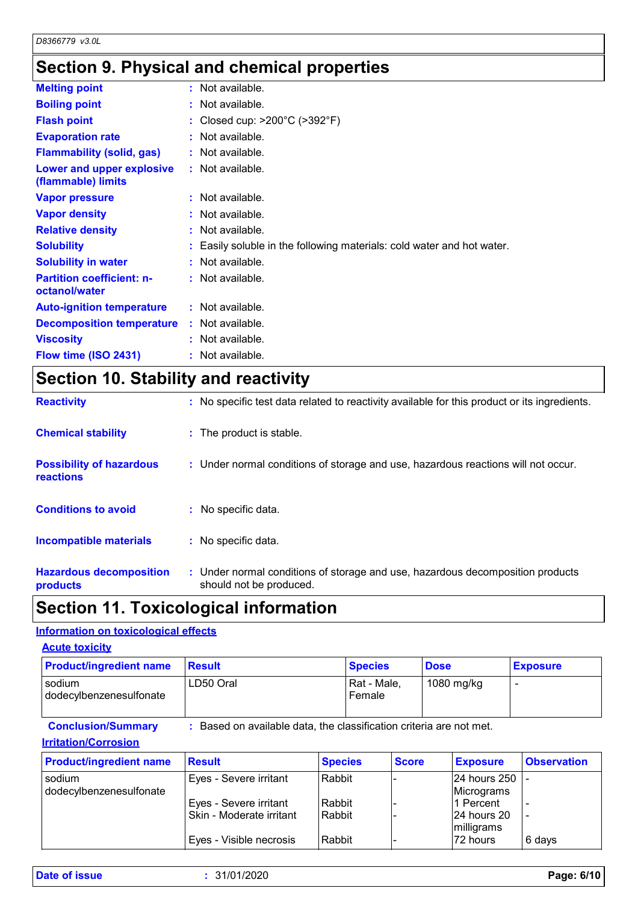## **Section 9. Physical and chemical properties**

| $:$ Not available.                                                     |
|------------------------------------------------------------------------|
| $:$ Not available.                                                     |
| : Closed cup: $>200^{\circ}$ C ( $>392^{\circ}$ F)                     |
| $:$ Not available.                                                     |
| : Not available.                                                       |
| : Not available.                                                       |
| $:$ Not available.                                                     |
| : Not available.                                                       |
| $:$ Not available.                                                     |
| : Easily soluble in the following materials: cold water and hot water. |
| $:$ Not available.                                                     |
| $:$ Not available.                                                     |
| $:$ Not available.                                                     |
| : Not available.                                                       |
| $:$ Not available.                                                     |
| : Not available.                                                       |
| <b>Decomposition temperature</b>                                       |

# **Section 10. Stability and reactivity**

| <b>Reactivity</b>                            | : No specific test data related to reactivity available for this product or its ingredients.              |
|----------------------------------------------|-----------------------------------------------------------------------------------------------------------|
| <b>Chemical stability</b>                    | : The product is stable.                                                                                  |
| <b>Possibility of hazardous</b><br>reactions | : Under normal conditions of storage and use, hazardous reactions will not occur.                         |
| <b>Conditions to avoid</b>                   | : No specific data.                                                                                       |
| <b>Incompatible materials</b>                | : No specific data.                                                                                       |
| <b>Hazardous decomposition</b><br>products   | : Under normal conditions of storage and use, hazardous decomposition products<br>should not be produced. |

## **Section 11. Toxicological information**

### **Information on toxicological effects**

| <b>Acute toxicity</b>             |               |                                                                   |             |                 |
|-----------------------------------|---------------|-------------------------------------------------------------------|-------------|-----------------|
| <b>Product/ingredient name</b>    | <b>Result</b> | <b>Species</b>                                                    | <b>Dose</b> | <b>Exposure</b> |
| sodium<br>dodecylbenzenesulfonate | LD50 Oral     | Rat - Male,<br>Female                                             | 1080 mg/kg  |                 |
| <b>Conclusion/Summary</b>         |               | Based on available data, the classification criteria are not met. |             |                 |

### **Irritation/Corrosion**

| <b>Product/ingredient name</b> | <b>Result</b>            | <b>Species</b> | <b>Score</b> | <b>Exposure</b> | <b>Observation</b> |
|--------------------------------|--------------------------|----------------|--------------|-----------------|--------------------|
| l sodium                       | Eyes - Severe irritant   | Rabbit         |              | 24 hours 250    |                    |
| dodecylbenzenesulfonate        |                          |                |              | Micrograms      |                    |
|                                | Eyes - Severe irritant   | Rabbit         |              | 1 Percent       |                    |
|                                | Skin - Moderate irritant | <b>Rabbit</b>  |              | 124 hours 20    |                    |
|                                |                          |                |              | milligrams      |                    |
|                                | Eyes - Visible necrosis  | Rabbit         |              | 172 hours       | 6 days             |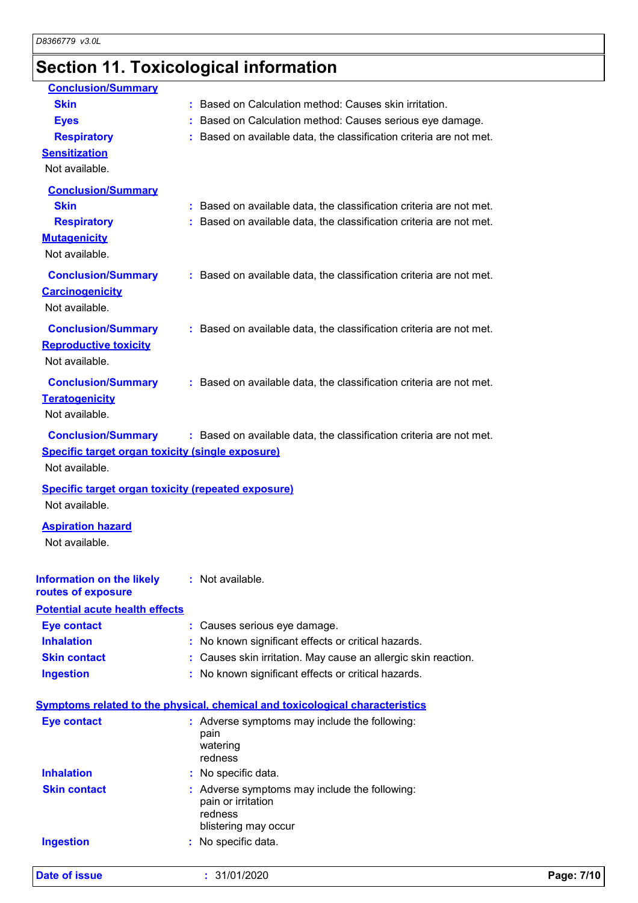# **Section 11. Toxicological information**

| <b>Conclusion/Summary</b>                                 |                                                                                     |
|-----------------------------------------------------------|-------------------------------------------------------------------------------------|
| <b>Skin</b>                                               | : Based on Calculation method: Causes skin irritation.                              |
| <b>Eyes</b>                                               | : Based on Calculation method: Causes serious eye damage.                           |
| <b>Respiratory</b>                                        | : Based on available data, the classification criteria are not met.                 |
| <b>Sensitization</b>                                      |                                                                                     |
| Not available.                                            |                                                                                     |
| <b>Conclusion/Summary</b>                                 |                                                                                     |
| <b>Skin</b>                                               | : Based on available data, the classification criteria are not met.                 |
| <b>Respiratory</b>                                        | : Based on available data, the classification criteria are not met.                 |
| <b>Mutagenicity</b>                                       |                                                                                     |
| Not available.                                            |                                                                                     |
| <b>Conclusion/Summary</b>                                 | : Based on available data, the classification criteria are not met.                 |
| <b>Carcinogenicity</b>                                    |                                                                                     |
| Not available.                                            |                                                                                     |
| <b>Conclusion/Summary</b>                                 | : Based on available data, the classification criteria are not met.                 |
| <b>Reproductive toxicity</b>                              |                                                                                     |
| Not available.                                            |                                                                                     |
| <b>Conclusion/Summary</b>                                 | : Based on available data, the classification criteria are not met.                 |
| <b>Teratogenicity</b>                                     |                                                                                     |
| Not available.                                            |                                                                                     |
|                                                           |                                                                                     |
| <b>Conclusion/Summary</b>                                 | : Based on available data, the classification criteria are not met.                 |
| <b>Specific target organ toxicity (single exposure)</b>   |                                                                                     |
| Not available.                                            |                                                                                     |
| <b>Specific target organ toxicity (repeated exposure)</b> |                                                                                     |
| Not available.                                            |                                                                                     |
| <b>Aspiration hazard</b>                                  |                                                                                     |
| Not available.                                            |                                                                                     |
|                                                           |                                                                                     |
| Information on the likely                                 | : Not available.                                                                    |
| routes of exposure                                        |                                                                                     |
| <b>Potential acute health effects</b>                     |                                                                                     |
| <b>Eye contact</b>                                        | : Causes serious eye damage.                                                        |
| <b>Inhalation</b>                                         | : No known significant effects or critical hazards.                                 |
| <b>Skin contact</b>                                       | : Causes skin irritation. May cause an allergic skin reaction.                      |
| <b>Ingestion</b>                                          | : No known significant effects or critical hazards.                                 |
|                                                           |                                                                                     |
|                                                           | <b>Symptoms related to the physical, chemical and toxicological characteristics</b> |
| <b>Eye contact</b>                                        | : Adverse symptoms may include the following:<br>pain                               |
|                                                           | watering                                                                            |
|                                                           | redness                                                                             |
| <b>Inhalation</b>                                         | : No specific data.                                                                 |
| <b>Skin contact</b>                                       | : Adverse symptoms may include the following:<br>pain or irritation                 |
|                                                           | redness                                                                             |
|                                                           | blistering may occur                                                                |
| <b>Ingestion</b>                                          | : No specific data.                                                                 |
|                                                           |                                                                                     |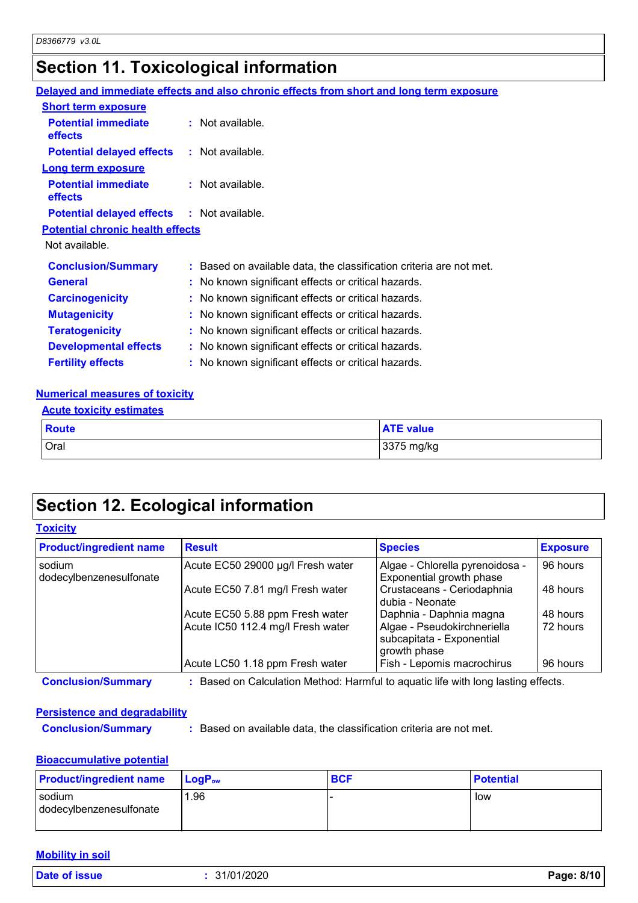## **Section 11. Toxicological information**

|                                                   | Delayed and immediate effects and also chronic effects from short and long term exposure |
|---------------------------------------------------|------------------------------------------------------------------------------------------|
| <b>Short term exposure</b>                        |                                                                                          |
| <b>Potential immediate</b><br><b>effects</b>      | $:$ Not available.                                                                       |
| <b>Potential delayed effects : Not available.</b> |                                                                                          |
| <b>Long term exposure</b>                         |                                                                                          |
| <b>Potential immediate</b><br><b>effects</b>      | $:$ Not available.                                                                       |
| <b>Potential delayed effects : Not available.</b> |                                                                                          |
| <b>Potential chronic health effects</b>           |                                                                                          |
| Not available.                                    |                                                                                          |
| <b>Conclusion/Summary</b>                         | : Based on available data, the classification criteria are not met.                      |
| <b>General</b>                                    | : No known significant effects or critical hazards.                                      |
| <b>Carcinogenicity</b>                            | : No known significant effects or critical hazards.                                      |
| <b>Mutagenicity</b>                               | : No known significant effects or critical hazards.                                      |
| <b>Teratogenicity</b>                             | : No known significant effects or critical hazards.                                      |
| <b>Developmental effects</b>                      | : No known significant effects or critical hazards.                                      |
| <b>Fertility effects</b>                          | : No known significant effects or critical hazards.                                      |
|                                                   |                                                                                          |

### **Numerical measures of toxicity**

| <b>Acute toxicity estimates</b> |                  |  |
|---------------------------------|------------------|--|
| Route                           | <b>ATE value</b> |  |
| Oral                            | 3375 mg/kg       |  |

## **Section 12. Ecological information**

### **Toxicity**

| <b>Product/ingredient name</b>    | <b>Result</b>                     | <b>Species</b>                                                           | <b>Exposure</b> |
|-----------------------------------|-----------------------------------|--------------------------------------------------------------------------|-----------------|
| sodium<br>dodecylbenzenesulfonate | Acute EC50 29000 µg/l Fresh water | Algae - Chlorella pyrenoidosa -<br>Exponential growth phase              | 96 hours        |
|                                   | Acute EC50 7.81 mg/l Fresh water  | Crustaceans - Ceriodaphnia<br>dubia - Neonate                            | 48 hours        |
|                                   | Acute EC50 5.88 ppm Fresh water   | Daphnia - Daphnia magna                                                  | 48 hours        |
|                                   | Acute IC50 112.4 mg/l Fresh water | Algae - Pseudokirchneriella<br>subcapitata - Exponential<br>growth phase | 72 hours        |
|                                   | Acute LC50 1.18 ppm Fresh water   | Fish - Lepomis macrochirus                                               | 96 hours        |

**Conclusion/Summary :** Based on Calculation Method: Harmful to aquatic life with long lasting effects.

### **Persistence and degradability**

**Conclusion/Summary :** Based on available data, the classification criteria are not met.

### **Bioaccumulative potential**

| <b>Product/ingredient name</b>    | $\blacksquare$ Loq $\mathsf{P}_\mathsf{ow}$ | <b>BCF</b> | <b>Potential</b> |
|-----------------------------------|---------------------------------------------|------------|------------------|
| sodium<br>dodecylbenzenesulfonate | .96                                         |            | low              |

### **Mobility in soil**

**Date of issue :** 31/01/2020 **Page: 8/10**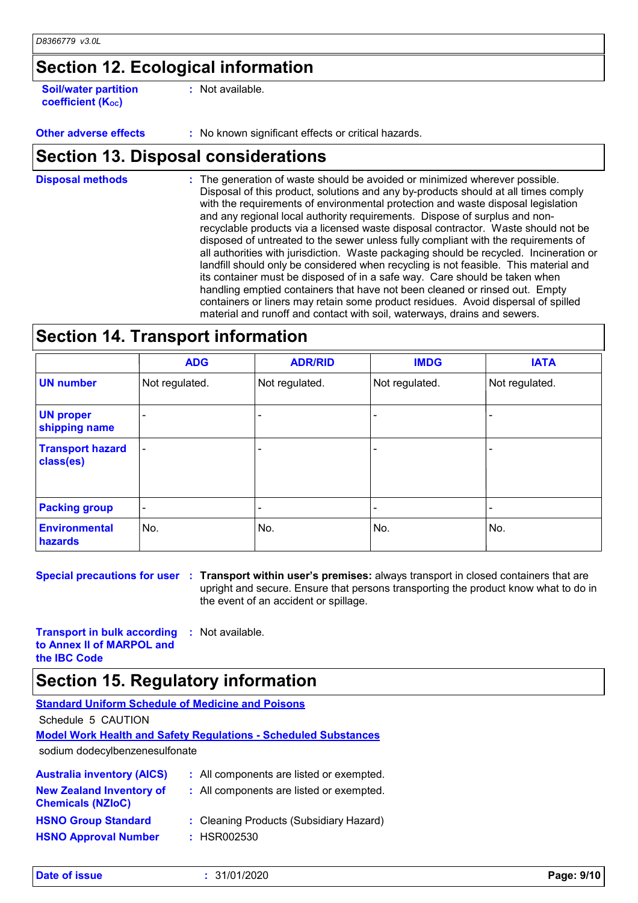## **Section 12. Ecological information**

**Soil/water partition coefficient (KOC)**

**:** Not available.

**Other adverse effects** : No known significant effects or critical hazards.

## **Section 13. Disposal considerations**

The generation of waste should be avoided or minimized wherever possible. Disposal of this product, solutions and any by-products should at all times comply with the requirements of environmental protection and waste disposal legislation and any regional local authority requirements. Dispose of surplus and nonrecyclable products via a licensed waste disposal contractor. Waste should not be disposed of untreated to the sewer unless fully compliant with the requirements of all authorities with jurisdiction. Waste packaging should be recycled. Incineration or landfill should only be considered when recycling is not feasible. This material and its container must be disposed of in a safe way. Care should be taken when handling emptied containers that have not been cleaned or rinsed out. Empty containers or liners may retain some product residues. Avoid dispersal of spilled material and runoff and contact with soil, waterways, drains and sewers. **Disposal methods :**

### **Section 14. Transport information**

|                                      | <b>ADG</b>               | <b>ADR/RID</b> | <b>IMDG</b>              | <b>IATA</b>    |
|--------------------------------------|--------------------------|----------------|--------------------------|----------------|
| <b>UN number</b>                     | Not regulated.           | Not regulated. | Not regulated.           | Not regulated. |
| <b>UN proper</b><br>shipping name    | $\overline{\phantom{0}}$ |                |                          |                |
| <b>Transport hazard</b><br>class(es) | $\overline{\phantom{a}}$ |                | $\overline{\phantom{0}}$ |                |
| <b>Packing group</b>                 | $\overline{\phantom{a}}$ |                | -                        |                |
| <b>Environmental</b><br>hazards      | No.                      | No.            | No.                      | No.            |

**Special precautions for user Transport within user's premises:** always transport in closed containers that are **:** upright and secure. Ensure that persons transporting the product know what to do in the event of an accident or spillage.

**Transport in bulk according to Annex II of MARPOL and the IBC Code :** Not available.

## **Section 15. Regulatory information**

| <b>Standard Uniform Schedule of Medicine and Poisons</b>    |                                                                        |
|-------------------------------------------------------------|------------------------------------------------------------------------|
| Schedule 5 CAUTION                                          |                                                                        |
|                                                             | <b>Model Work Health and Safety Regulations - Scheduled Substances</b> |
| sodium dodecylbenzenesulfonate                              |                                                                        |
| <b>Australia inventory (AICS)</b>                           | : All components are listed or exempted.                               |
| <b>New Zealand Inventory of</b><br><b>Chemicals (NZIoC)</b> | : All components are listed or exempted.                               |

| <b>HSNO Group Standard</b>  | : Cleaning Products (Subsidiary Hazard) |
|-----------------------------|-----------------------------------------|
| <b>HSNO Approval Number</b> | : HSR002530                             |